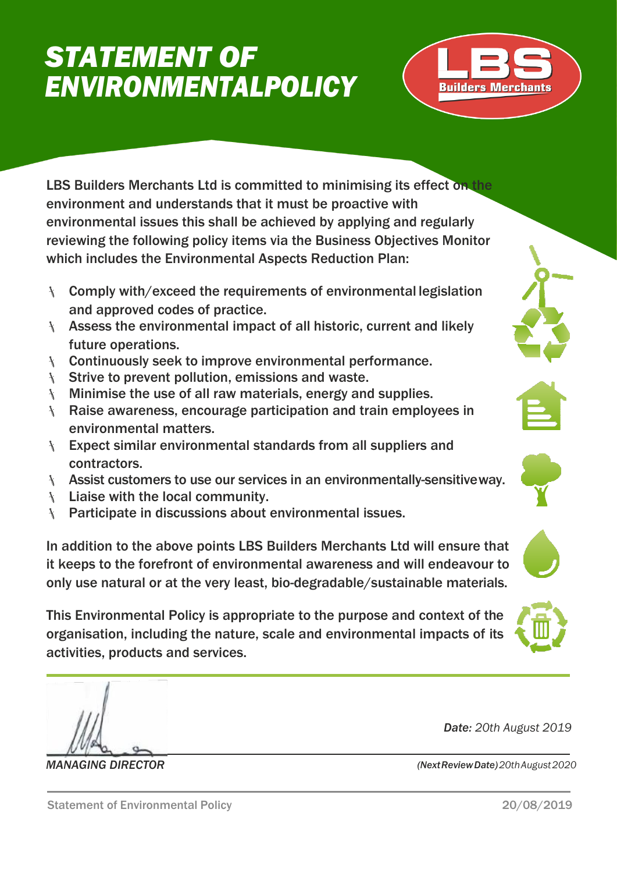# *STATEMENT OF ENVIRONMENTALPOLICY*



LBS Builders Merchants Ltd is committed to minimising its effect on the environment and understands that it must be proactive with environmental issues this shall be achieved by applying and regularly reviewing the following policy items via the Business Objectives Monitor which includes the Environmental Aspects Reduction Plan:

- Comply with/exceed the requirements of environmental legislation and approved codes of practice.
- Assess the environmental impact of all historic, current and likely future operations.
- **EXECONTIFY SOMEX THE VIOLET SEEK TO IMPROVE ENVIRONMENT PERIODIST CONTINUITY**
- $\setminus$  Strive to prevent pollution, emissions and waste.
- Minimise the use of all raw materials, energy and supplies.
- Raise awareness, encourage participation and train employees in environmental matters.
- **Expect similar environmental standards from all suppliers and** contractors.
- **Assist customers to use our services in an environmentally-sensitive way.**
- $\mathcal{F}$  Liaise with the local community.
- **Farticipate in discussions about environmental issues.**

In addition to the above points LBS Builders Merchants Ltd will ensure that it keeps to the forefront of environmental awareness and will endeavour to only use natural or at the very least, bio-degradable/sustainable materials.

This Environmental Policy is appropriate to the purpose and context of the organisation, including the nature, scale and environmental impacts of its activities, products and services.

*MANAGING DIRECTOR (NextReviewDate)20thAugust2020*







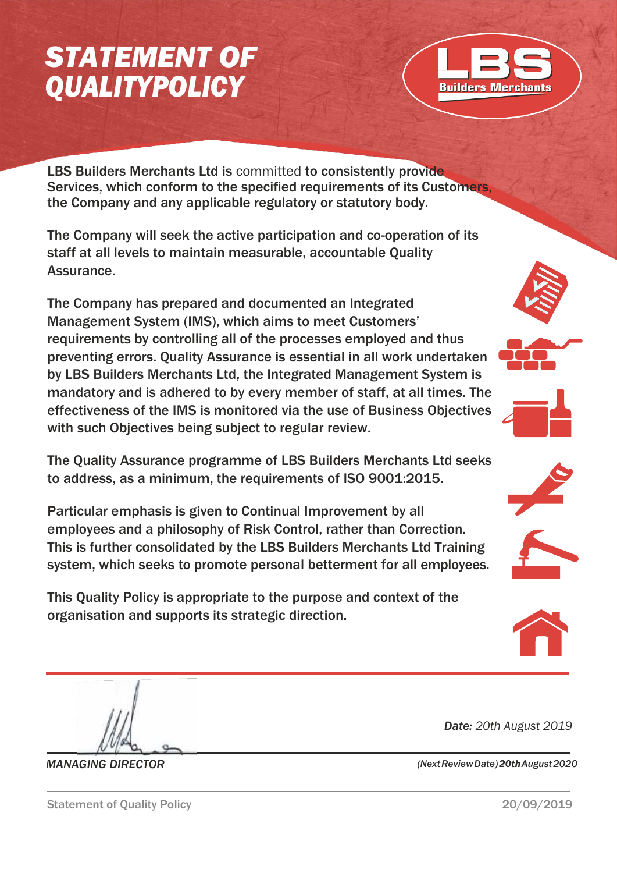# *STATEMENT OF QUALITYPOLICY*



LBS Builders Merchants Ltd is committed to consistently provide Services, which conform to the specified requirements of its Customers, the Company and any applicable regulatory or statutory body.

The Company will seek the active participation and co-operation of its staff at all levels to maintain measurable, accountable Quality Assurance.

The Company has prepared and documented an Integrated Management System (IMS), which aims to meet Customers' requirements by controlling all of the processes employed and thus preventing errors. Quality Assurance is essential in all work undertaken by LBS Builders Merchants Ltd, the Integrated Management System is mandatory and is adhered to by every member of staff, at all times. The effectiveness of the IMS is monitored via the use of Business Objectives with such Objectives being subject to regular review.

The Quality Assurance programme of LBS Builders Merchants Ltd seeks to address, as a minimum, the requirements of ISO 9001:2015.

Particular emphasis is given to Continual Improvement by all employees and a philosophy of Risk Control, rather than Correction. This is further consolidated by the LBS Builders Merchants Ltd Training system, which seeks to promote personal betterment for all employees.

This Quality Policy is appropriate to the purpose and context of the organisation and supports its strategic direction.











*Date: 20th August 2019*

*MANAGING DIRECTOR (NextReviewDate)20thAugust2020*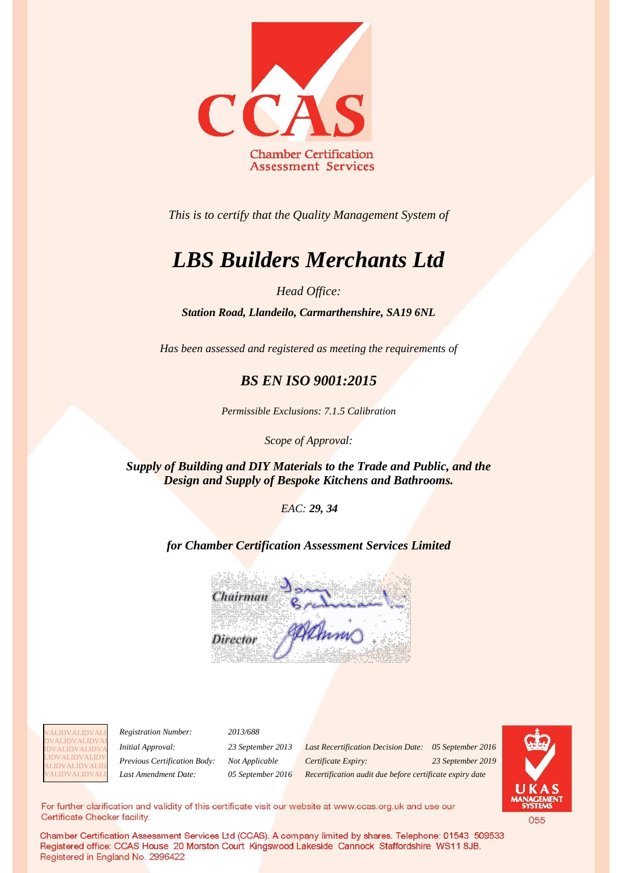

*This is to certify that the Quality Management System of*

## *LBS Builders Merchants Ltd*

*Head Office:*

*Station Road, Llandeilo, Carmarthenshire, SA19 6NL*

*Has been assessed and registered as meeting the requirements of*

## *BS EN ISO 9001:2015*

*Permissible Exclusions: 7.1.5 Calibration*

*Scope of Approval:* 

*Supply of Building and DIY Materials to the Trade and Public, and the Design and Supply of Bespoke Kitchens and Bathrooms.*

 *EAC: 29, 34*

*for Chamber Certification Assessment Services Limited*





*Registration Number: 2013/688*

*Initial Approval: 23 September 2013 Last Recertification Decision Date: 05 September 2016 Previous Certification Body: Not Applicable Certificate Expiry: 23 September 2019 Last Amendment Date: 05 September 2016 Recertification audit due before certificate expiry date*



For further clarification and validity of this certificate visit our website at www.ccas.org.uk and use our Certificate Checker facility.

Chamber Certification Assessment Services Ltd (CCAS). A company limited by shares. Telephone: 01543 509533 Registered office: CCAS House 20 Morston Court Kingswood Lakeside Cannock Staffordshire WS11 8JB. Registered in England No. 2996422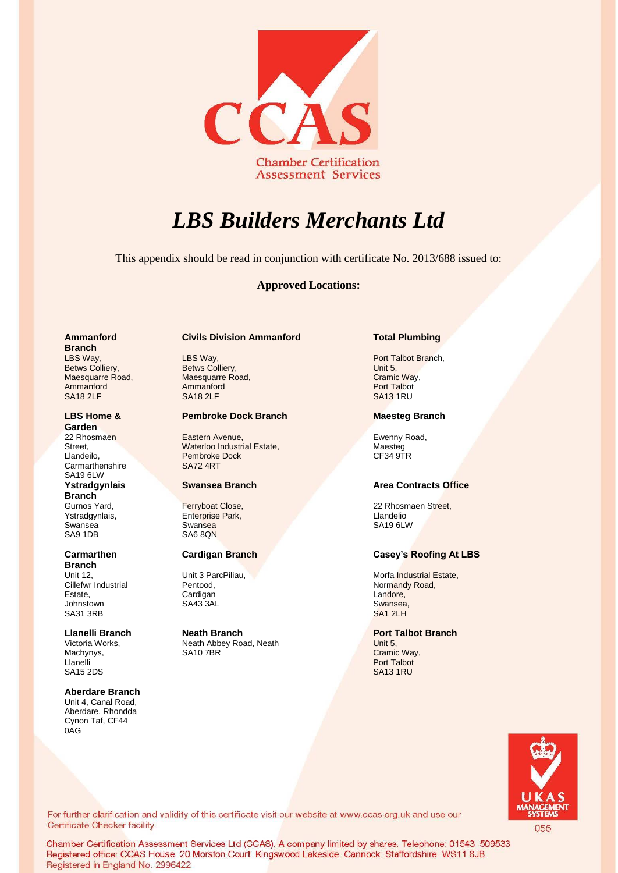

## *LBS Builders Merchants Ltd*

This appendix should be read in conjunction with certificate No. 2013/688 issued to:

### **Approved Locations:**

### **Ammanford Branch**  LBS Way,

Betws Colliery, Maesquarre Road, Ammanford SA18 2LF

### **LBS Home & Garden**

22 Rhosmaen **Street** Llandeilo, **Carmarthenshire** SA19 6LW **Ystradgynlais Branch**

Gurnos Yard, Ystradgynlais, Swansea SA9 1DB

### **Carmarthen Branch**

Unit 12, Cillefwr Industrial Estate, Johnstown SA31 3RB

### Victoria Works, Machynys, Llanelli SA15 2DS

**Aberdare Branch** Unit 4, Canal Road, Aberdare, Rhondda Cynon Taf, CF44 0AG

## **Civils Division Ammanford Total Plumbing**

LBS Way, Betws Colliery, Maesquarre Road, Ammanford SA18 2LF

### **Pembroke Dock Branch Maesteg Branch**

Eastern Avenue, Waterloo Industrial Estate, Pembroke Dock SA72 4RT

Ferryboat Close, Enterprise Park, **Swansea** SA6 8QN

Unit 3 ParcPiliau, Pentood, Cardigan SA43 3AL

**Llanelli Branch Neath Branch Port Talbot Branch** Neath Abbey Road, Neath SA10 7BR

Port Talbot Branch, Unit 5, Cramic Way, Port Talbot SA13 1RU

Ewenny Road, Maesteg CF34 9TR

## **Swansea Branch Area Contracts Office**

22 Rhosmaen Street, Llandelio SA19 6LW

## **Cardigan Branch Casey's Roofing At LBS**

Morfa Industrial Estate, Normandy Road, Landore, Swansea, [SA1 2LH](https://www.google.co.uk/maps/place/Normandy+Rd,+Plasmarl,+Swansea+SA1/@51.640944,-3.9362997,17z/data=!3m1!4b1!4m2!3m1!1s0x486ef5687a092da1:0x786477f31b85e4a1)

Unit 5, Cramic Way, Port Talbot SA13 1RU



For further clarification and validity of this certificate visit our website at www.ccas.org.uk and use our Certificate Checker facility.

Chamber Certification Assessment Services Ltd (CCAS). A company limited by shares. Telephone: 01543 509533 Registered office: CCAS House 20 Morston Court Kingswood Lakeside Cannock Staffordshire WS11 8JB. Registered in England No. 2996422

055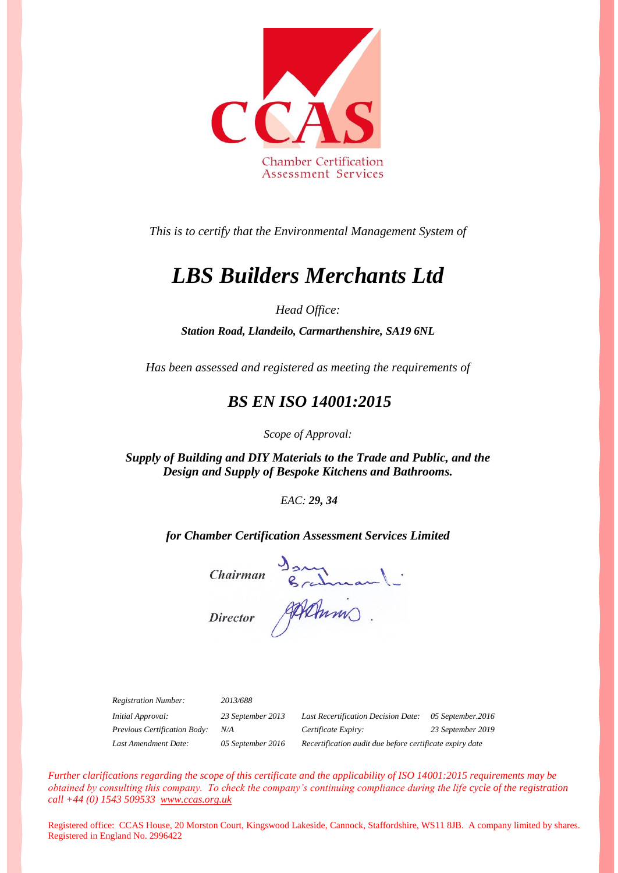

*This is to certify that the Environmental Management System of*

## *LBS Builders Merchants Ltd*

*Head Office:*

*Station Road, Llandeilo, Carmarthenshire, SA19 6NL*

*Has been assessed and registered as meeting the requirements of*

## *BS EN ISO 14001:2015*

*Scope of Approval:* 

*Supply of Building and DIY Materials to the Trade and Public, and the Design and Supply of Bespoke Kitchens and Bathrooms.*

*EAC: 29, 34*

*for Chamber Certification Assessment Services Limited*

Chairman Brahman -

| <b>Registration Number:</b>  | 2013/688          |                                                          |                   |
|------------------------------|-------------------|----------------------------------------------------------|-------------------|
| <i>Initial Approval:</i>     | 23 September 2013 | Last Recertification Decision Date:                      | 05 September.2016 |
| Previous Certification Body: | N/A               | Certificate Expiry:                                      | 23 September 2019 |
| Last Amendment Date:         | 05 September 2016 | Recertification audit due before certificate expiry date |                   |

*Further clarifications regarding the scope of this certificate and the applicability of ISO 14001:2015 requirements may be obtained by consulting this company. To check the company's continuing compliance during the life cycle of the registration call +44 (0) 1543 509533 [www.ccas.org.uk](http://www.ccas.org.uk/)*

Registered office: CCAS House, 20 Morston Court, Kingswood Lakeside, Cannock, Staffordshire, WS11 8JB. A company limited by shares. Registered in England No. 2996422